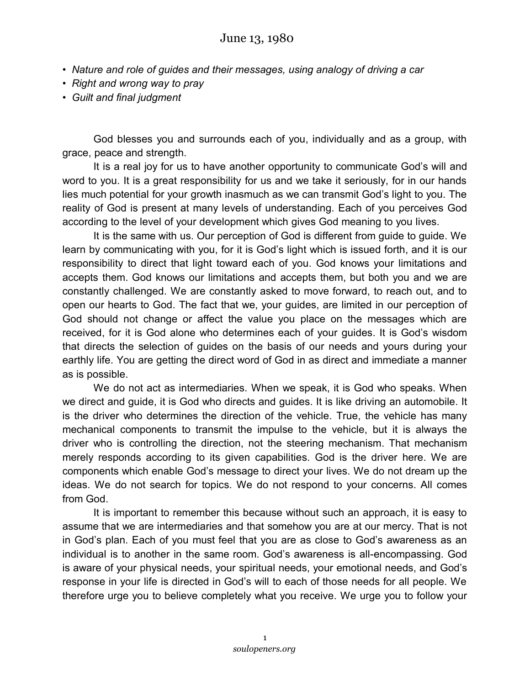- *Nature and role of guides and their messages, using analogy of driving a car*
- *Right and wrong way to pray*
- *Guilt and final judgment*

God blesses you and surrounds each of you, individually and as a group, with grace, peace and strength.

It is a real joy for us to have another opportunity to communicate God's will and word to you. It is a great responsibility for us and we take it seriously, for in our hands lies much potential for your growth inasmuch as we can transmit God's light to you. The reality of God is present at many levels of understanding. Each of you perceives God according to the level of your development which gives God meaning to you lives.

It is the same with us. Our perception of God is different from guide to guide. We learn by communicating with you, for it is God's light which is issued forth, and it is our responsibility to direct that light toward each of you. God knows your limitations and accepts them. God knows our limitations and accepts them, but both you and we are constantly challenged. We are constantly asked to move forward, to reach out, and to open our hearts to God. The fact that we, your guides, are limited in our perception of God should not change or affect the value you place on the messages which are received, for it is God alone who determines each of your guides. It is God's wisdom that directs the selection of guides on the basis of our needs and yours during your earthly life. You are getting the direct word of God in as direct and immediate a manner as is possible.

We do not act as intermediaries. When we speak, it is God who speaks. When we direct and guide, it is God who directs and guides. It is like driving an automobile. It is the driver who determines the direction of the vehicle. True, the vehicle has many mechanical components to transmit the impulse to the vehicle, but it is always the driver who is controlling the direction, not the steering mechanism. That mechanism merely responds according to its given capabilities. God is the driver here. We are components which enable God's message to direct your lives. We do not dream up the ideas. We do not search for topics. We do not respond to your concerns. All comes from God.

It is important to remember this because without such an approach, it is easy to assume that we are intermediaries and that somehow you are at our mercy. That is not in God's plan. Each of you must feel that you are as close to God's awareness as an individual is to another in the same room. God's awareness is all-encompassing. God is aware of your physical needs, your spiritual needs, your emotional needs, and God's response in your life is directed in God's will to each of those needs for all people. We therefore urge you to believe completely what you receive. We urge you to follow your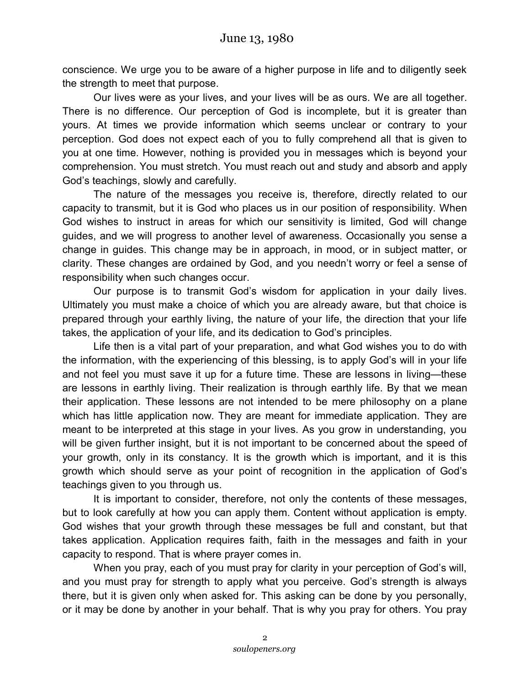conscience. We urge you to be aware of a higher purpose in life and to diligently seek the strength to meet that purpose.

Our lives were as your lives, and your lives will be as ours. We are all together. There is no difference. Our perception of God is incomplete, but it is greater than yours. At times we provide information which seems unclear or contrary to your perception. God does not expect each of you to fully comprehend all that is given to you at one time. However, nothing is provided you in messages which is beyond your comprehension. You must stretch. You must reach out and study and absorb and apply God's teachings, slowly and carefully.

The nature of the messages you receive is, therefore, directly related to our capacity to transmit, but it is God who places us in our position of responsibility. When God wishes to instruct in areas for which our sensitivity is limited, God will change guides, and we will progress to another level of awareness. Occasionally you sense a change in guides. This change may be in approach, in mood, or in subject matter, or clarity. These changes are ordained by God, and you needn't worry or feel a sense of responsibility when such changes occur.

Our purpose is to transmit God's wisdom for application in your daily lives. Ultimately you must make a choice of which you are already aware, but that choice is prepared through your earthly living, the nature of your life, the direction that your life takes, the application of your life, and its dedication to God's principles.

Life then is a vital part of your preparation, and what God wishes you to do with the information, with the experiencing of this blessing, is to apply God's will in your life and not feel you must save it up for a future time. These are lessons in living—these are lessons in earthly living. Their realization is through earthly life. By that we mean their application. These lessons are not intended to be mere philosophy on a plane which has little application now. They are meant for immediate application. They are meant to be interpreted at this stage in your lives. As you grow in understanding, you will be given further insight, but it is not important to be concerned about the speed of your growth, only in its constancy. It is the growth which is important, and it is this growth which should serve as your point of recognition in the application of God's teachings given to you through us.

It is important to consider, therefore, not only the contents of these messages, but to look carefully at how you can apply them. Content without application is empty. God wishes that your growth through these messages be full and constant, but that takes application. Application requires faith, faith in the messages and faith in your capacity to respond. That is where prayer comes in.

When you pray, each of you must pray for clarity in your perception of God's will, and you must pray for strength to apply what you perceive. God's strength is always there, but it is given only when asked for. This asking can be done by you personally, or it may be done by another in your behalf. That is why you pray for others. You pray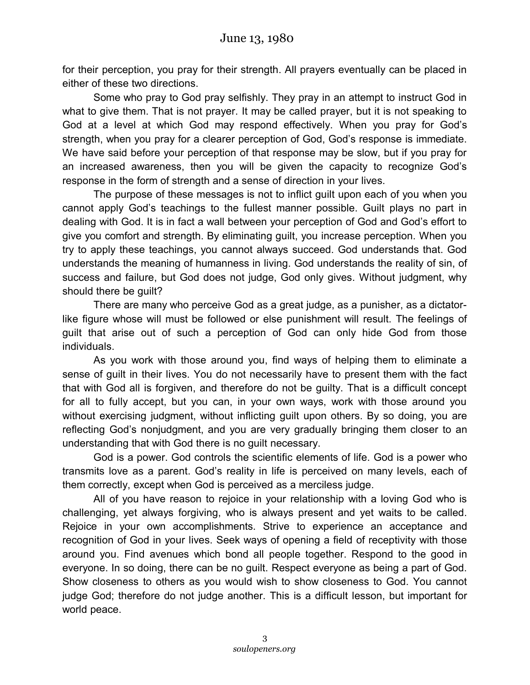for their perception, you pray for their strength. All prayers eventually can be placed in either of these two directions.

Some who pray to God pray selfishly. They pray in an attempt to instruct God in what to give them. That is not prayer. It may be called prayer, but it is not speaking to God at a level at which God may respond effectively. When you pray for God's strength, when you pray for a clearer perception of God, God's response is immediate. We have said before your perception of that response may be slow, but if you pray for an increased awareness, then you will be given the capacity to recognize God's response in the form of strength and a sense of direction in your lives.

The purpose of these messages is not to inflict guilt upon each of you when you cannot apply God's teachings to the fullest manner possible. Guilt plays no part in dealing with God. It is in fact a wall between your perception of God and God's effort to give you comfort and strength. By eliminating guilt, you increase perception. When you try to apply these teachings, you cannot always succeed. God understands that. God understands the meaning of humanness in living. God understands the reality of sin, of success and failure, but God does not judge, God only gives. Without judgment, why should there be guilt?

There are many who perceive God as a great judge, as a punisher, as a dictatorlike figure whose will must be followed or else punishment will result. The feelings of guilt that arise out of such a perception of God can only hide God from those individuals.

As you work with those around you, find ways of helping them to eliminate a sense of guilt in their lives. You do not necessarily have to present them with the fact that with God all is forgiven, and therefore do not be guilty. That is a difficult concept for all to fully accept, but you can, in your own ways, work with those around you without exercising judgment, without inflicting guilt upon others. By so doing, you are reflecting God's nonjudgment, and you are very gradually bringing them closer to an understanding that with God there is no guilt necessary.

God is a power. God controls the scientific elements of life. God is a power who transmits love as a parent. God's reality in life is perceived on many levels, each of them correctly, except when God is perceived as a merciless judge.

All of you have reason to rejoice in your relationship with a loving God who is challenging, yet always forgiving, who is always present and yet waits to be called. Rejoice in your own accomplishments. Strive to experience an acceptance and recognition of God in your lives. Seek ways of opening a field of receptivity with those around you. Find avenues which bond all people together. Respond to the good in everyone. In so doing, there can be no guilt. Respect everyone as being a part of God. Show closeness to others as you would wish to show closeness to God. You cannot judge God; therefore do not judge another. This is a difficult lesson, but important for world peace.